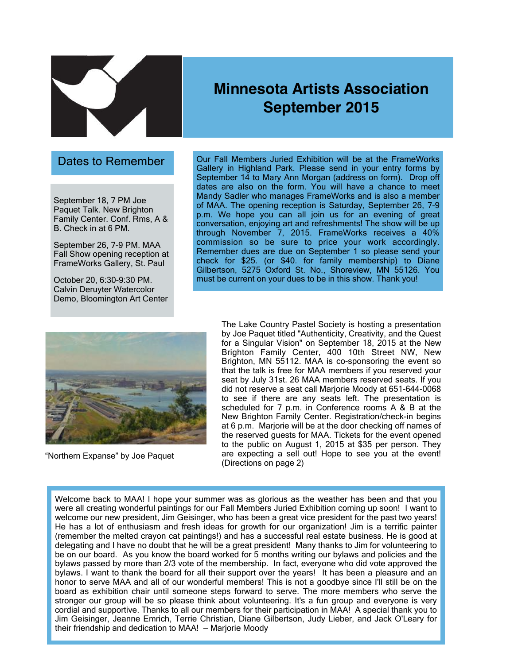

# **Minnesota Artists Association September 2015**

#### Dates to Remember

September 18, 7 PM Joe Paquet Talk. New Brighton Family Center. Conf. Rms, A & B. Check in at 6 PM.

September 26, 7-9 PM. MAA Fall Show opening reception at FrameWorks Gallery, St. Paul

October 20, 6:30-9:30 PM. Calvin Deruyter Watercolor Demo, Bloomington Art Center Our Fall Members Juried Exhibition will be at the FrameWorks Gallery in Highland Park. Please send in your entry forms by September 14 to Mary Ann Morgan (address on form). Drop off dates are also on the form. You will have a chance to meet Mandy Sadler who manages FrameWorks and is also a member of MAA. The opening reception is Saturday, September 26, 7-9 p.m. We hope you can all join us for an evening of great conversation, enjoying art and refreshments! The show will be up through November 7, 2015. FrameWorks receives a 40% commission so be sure to price your work accordingly. Remember dues are due on September 1 so please send your check for \$25. (or \$40. for family membership) to Diane Gilbertson, 5275 Oxford St. No., Shoreview, MN 55126. You must be current on your dues to be in this show. Thank you!



"Northern Expanse" by Joe Paquet

The Lake Country Pastel Society is hosting a presentation by Joe Paquet titled "Authenticity, Creativity, and the Quest for a Singular Vision" on September 18, 2015 at the New Brighton Family Center, 400 10th Street NW, New Brighton, MN 55112. MAA is co-sponsoring the event so that the talk is free for MAA members if you reserved your seat by July 31st. 26 MAA members reserved seats. If you did not reserve a seat call Marjorie Moody at 651-644-0068 to see if there are any seats left. The presentation is scheduled for 7 p.m. in Conference rooms A & B at the New Brighton Family Center. Registration/check-in begins at 6 p.m. Marjorie will be at the door checking off names of the reserved guests for MAA. Tickets for the event opened to the public on August 1, 2015 at \$35 per person. They are expecting a sell out! Hope to see you at the event! (Directions on page 2)

Welcome back to MAA! I hope your summer was as glorious as the weather has been and that you were all creating wonderful paintings for our Fall Members Juried Exhibition coming up soon! I want to welcome our new president, Jim Geisinger, who has been a great vice president for the past two years! He has a lot of enthusiasm and fresh ideas for growth for our organization! Jim is a terrific painter (remember the melted crayon cat paintings!) and has a successful real estate business. He is good at delegating and I have no doubt that he will be a great president! Many thanks to Jim for volunteering to be on our board. As you know the board worked for 5 months writing our bylaws and policies and the bylaws passed by more than 2/3 vote of the membership. In fact, everyone who did vote approved the bylaws. I want to thank the board for all their support over the years! It has been a pleasure and an honor to serve MAA and all of our wonderful members! This is not a goodbye since I'll still be on the board as exhibition chair until someone steps forward to serve. The more members who serve the stronger our group will be so please think about volunteering. It's a fun group and everyone is very cordial and supportive. Thanks to all our members for their participation in MAA! A special thank you to Jim Geisinger, Jeanne Emrich, Terrie Christian, Diane Gilbertson, Judy Lieber, and Jack O'Leary for their friendship and dedication to MAA! — Marjorie Moody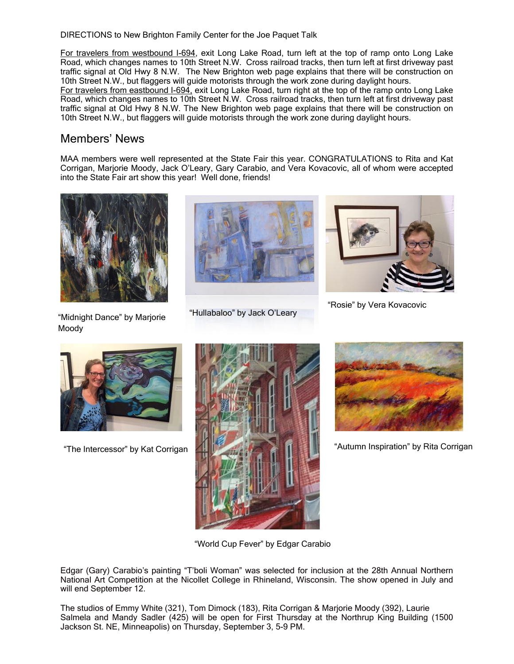DIRECTIONS to New Brighton Family Center for the Joe Paquet Talk

For travelers from westbound I-694, exit Long Lake Road, turn left at the top of ramp onto Long Lake Road, which changes names to 10th Street N.W. Cross railroad tracks, then turn left at first driveway past traffic signal at Old Hwy 8 N.W. The New Brighton web page explains that there will be construction on 10th Street N.W., but flaggers will guide motorists through the work zone during daylight hours. For travelers from eastbound I-694, exit Long Lake Road, turn right at the top of the ramp onto Long Lake Road, which changes names to 10th Street N.W. Cross railroad tracks, then turn left at first driveway past traffic signal at Old Hwy 8 N.W. The New Brighton web page explains that there will be construction on 10th Street N.W., but flaggers will guide motorists through the work zone during daylight hours.

### Members' News

MAA members were well represented at the State Fair this year. CONGRATULATIONS to Rita and Kat Corrigan, Marjorie Moody, Jack O'Leary, Gary Carabio, and Vera Kovacovic, all of whom were accepted into the State Fair art show this year! Well done, friends!



"Midnight Dance" by Marjorie Moody



"Hullabaloo" by Jack O'Leary



"Rosie" by Vera Kovacovic



"The Intercessor" by Kat Corrigan





"Autumn Inspiration" by Rita Corrigan

"World Cup Fever" by Edgar Carabio

Edgar (Gary) Carabio's painting "T'boli Woman" was selected for inclusion at the 28th Annual Northern National Art Competition at the Nicollet College in Rhineland, Wisconsin. The show opened in July and will end September 12.

The studios of Emmy White (321), Tom Dimock (183), Rita Corrigan & Marjorie Moody (392), Laurie Salmela and Mandy Sadler (425) will be open for First Thursday at the Northrup King Building (1500 Jackson St. NE, Minneapolis) on Thursday, September 3, 5-9 PM.